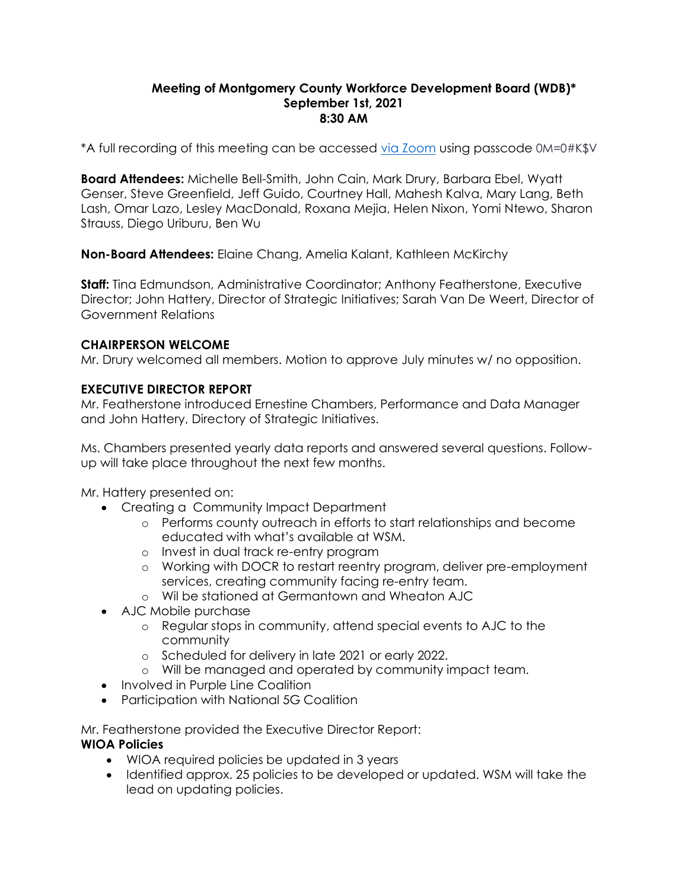#### **Meeting of Montgomery County Workforce Development Board (WDB)\* September 1st, 2021 8:30 AM**

\*A full recording of this meeting can be accessed [via Zoom](https://us02web.zoom.us/rec/share/_a6UD4cHyFYY42jq3h1nxe0vAzpJk1O9Wft_YisBkSR0V0nm2fW3OvD6drR8teUC.sUMQxJq-ASkElvlM) using passcode 0M=0#K\$V

**Board Attendees:** Michelle Bell-Smith, John Cain, Mark Drury, Barbara Ebel, Wyatt Genser, Steve Greenfield, Jeff Guido, Courtney Hall, Mahesh Kalva, Mary Lang, Beth Lash, Omar Lazo, Lesley MacDonald, Roxana Mejia, Helen Nixon, Yomi Ntewo, Sharon Strauss, Diego Uriburu, Ben Wu

**Non-Board Attendees:** Elaine Chang, Amelia Kalant, Kathleen McKirchy

**Staff:** Tina Edmundson, Administrative Coordinator; Anthony Featherstone, Executive Director; John Hattery, Director of Strategic Initiatives; Sarah Van De Weert, Director of Government Relations

### **CHAIRPERSON WELCOME**

Mr. Drury welcomed all members. Motion to approve July minutes w/ no opposition.

### **EXECUTIVE DIRECTOR REPORT**

Mr. Featherstone introduced Ernestine Chambers, Performance and Data Manager and John Hattery, Directory of Strategic Initiatives.

Ms. Chambers presented yearly data reports and answered several questions. Followup will take place throughout the next few months.

Mr. Hattery presented on:

- Creating a Community Impact Department
	- o Performs county outreach in efforts to start relationships and become educated with what's available at WSM.
	- o Invest in dual track re-entry program
	- o Working with DOCR to restart reentry program, deliver pre-employment services, creating community facing re-entry team.
	- o Wil be stationed at Germantown and Wheaton AJC
- AJC Mobile purchase
	- o Regular stops in community, attend special events to AJC to the community
	- o Scheduled for delivery in late 2021 or early 2022.
	- o Will be managed and operated by community impact team.
- Involved in Purple Line Coalition
- Participation with National 5G Coalition

Mr. Featherstone provided the Executive Director Report: **WIOA Policies**

- WIOA required policies be updated in 3 years
- Identified approx. 25 policies to be developed or updated. WSM will take the lead on updating policies.